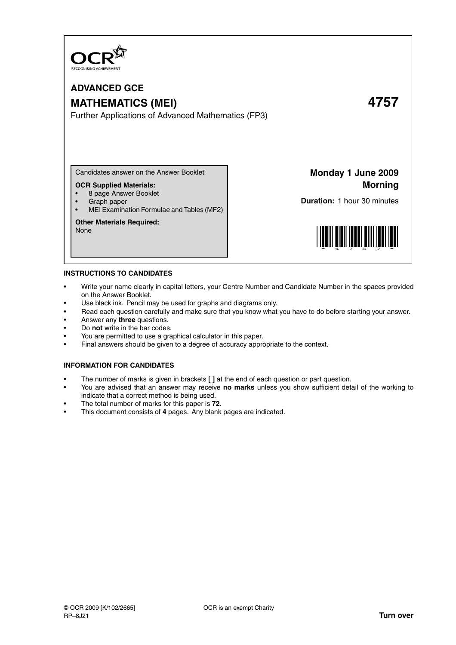

# **ADVANCED GCE MATHEMATICS (MEI) 4757**

Further Applications of Advanced Mathematics (FP3)

Candidates answer on the Answer Booklet

# **OCR Supplied Materials:**

- 8 page Answer Booklet
- Graph paper
- MEI Examination Formulae and Tables (MF2)

#### **Other Materials Required:**

None

**Monday 1 June 2009 Morning**

**Duration:** 1 hour 30 minutes



#### **INSTRUCTIONS TO CANDIDATES**

- Write your name clearly in capital letters, your Centre Number and Candidate Number in the spaces provided on the Answer Booklet.
- Use black ink. Pencil may be used for graphs and diagrams only.
- Read each question carefully and make sure that you know what you have to do before starting your answer.
- Answer any **three** questions.
- Do **not** write in the bar codes.
- You are permitted to use a graphical calculator in this paper.
- Final answers should be given to a degree of accuracy appropriate to the context.

## **INFORMATION FOR CANDIDATES**

- The number of marks is given in brackets **[ ]** at the end of each question or part question.
- You are advised that an answer may receive **no marks** unless you show sufficient detail of the working to indicate that a correct method is being used.
- The total number of marks for this paper is **72**.
- This document consists of **4** pages. Any blank pages are indicated.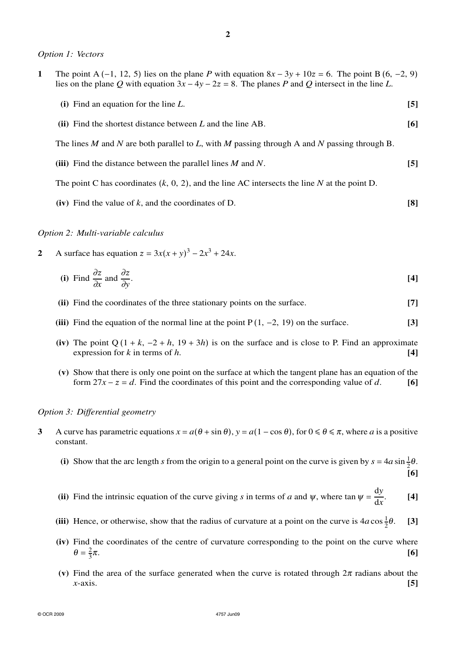*Option 1: Vectors*

| 1 | The point A (-1, 12, 5) lies on the plane P with equation $8x - 3y + 10z = 6$ . The point B (6, -2, 9)<br>lies on the plane Q with equation $3x - 4y - 2z = 8$ . The planes P and Q intersect in the line L. |      |
|---|--------------------------------------------------------------------------------------------------------------------------------------------------------------------------------------------------------------|------|
|   | (i) Find an equation for the line $L$ .                                                                                                                                                                      | [5]  |
|   | (ii) Find the shortest distance between $L$ and the line AB.                                                                                                                                                 | [6]  |
|   | The lines M and N are both parallel to L, with M passing through A and N passing through B.                                                                                                                  |      |
|   | (iii) Find the distance between the parallel lines $M$ and $N$ .                                                                                                                                             | 15 I |
|   | The point C has coordinates $(k, 0, 2)$ , and the line AC intersects the line N at the point D.                                                                                                              |      |
|   |                                                                                                                                                                                                              |      |

*Option 2: Multi-variable calculus*

**2** A surface has equation  $z = 3x(x + y)^3 - 2x^3 + 24x$ .

(i) Find 
$$
\frac{\partial z}{\partial x}
$$
 and  $\frac{\partial z}{\partial y}$ . [4]

**(iv)** Find the value of *k*, and the coordinates of D. **[8]**

- **(ii)** Find the coordinates of the three stationary points on the surface. **[7]**
- **(iii)** Find the equation of the normal line at the point P (1, −2, 19) on the surface. **[3]**
- (iv) The point  $Q(1 + k, -2 + h, 19 + 3h)$  is on the surface and is close to P. Find an approximate expression for *k* in terms of *h*.  $[4]$
- **(v)** Show that there is only one point on the surface at which the tangent plane has an equation of the form  $27x - z = d$ . Find the coordinates of this point and the corresponding value of *d*. [6]

#### *Option 3: Differential geometry*

- **3** A curve has parametric equations  $x = a(\theta + \sin \theta)$ ,  $y = a(1 \cos \theta)$ , for  $0 \le \theta \le \pi$ , where *a* is a positive constant.
	- (i) Show that the arc length *s* from the origin to a general point on the curve is given by  $s = 4a \sin \frac{1}{2}\theta$ . **[6]**
	- (ii) Find the intrinsic equation of the curve giving *s* in terms of *a* and  $\psi$ , where tan  $\psi = \frac{dy}{dx}$ d*x* . **[4]**
	- (iii) Hence, or otherwise, show that the radius of curvature at a point on the curve is  $4a\cos{\frac{1}{2}}$ <sup>θ</sup>. **[3]**
	- **(iv)** Find the coordinates of the centre of curvature corresponding to the point on the curve where  $\theta = \frac{2}{3}$ 3  $\pi$ . [6]
	- (v) Find the area of the surface generated when the curve is rotated through  $2\pi$  radians about the *x*-axis. **[5]**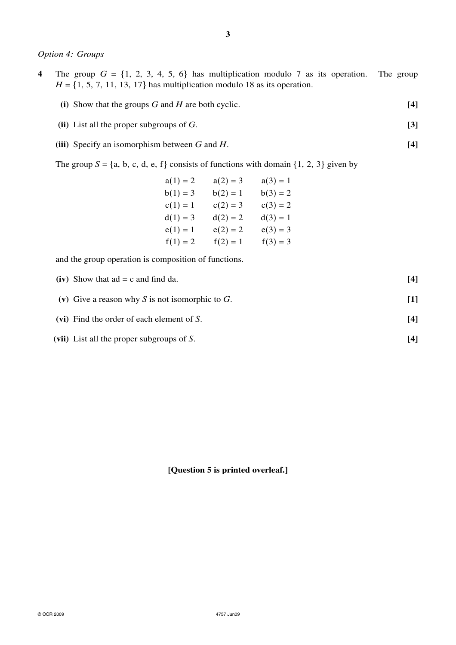# *Option 4: Groups*

- **4** The group  $G = \{1, 2, 3, 4, 5, 6\}$  has multiplication modulo 7 as its operation. The group  $H = \{1, 5, 7, 11, 13, 17\}$  has multiplication modulo 18 as its operation.
	- **(i)** Show that the groups *G* and *H* are both cyclic. **[4]**
	- **(ii)** List all the proper subgroups of *G*. **[3]**
	- **(iii)** Specify an isomorphism between *G* and *H*. **[4]**

The group  $S = \{a, b, c, d, e, f\}$  consists of functions with domain  $\{1, 2, 3\}$  given by

| $a(1) = 2$ | $a(2) = 3$ | $a(3) = 1$ |
|------------|------------|------------|
| $b(1) = 3$ | $b(2) = 1$ | $b(3) = 2$ |
| $c(1) = 1$ | $c(2) = 3$ | $c(3) = 2$ |
| $d(1) = 3$ | $d(2) = 2$ | $d(3) = 1$ |
| $e(1) = 1$ | $e(2) = 2$ | $e(3) = 3$ |
| $f(1) = 2$ | $f(2) = 1$ | $f(3) = 3$ |

and the group operation is composition of functions.

| (iv) Show that $ad = c$ and find da.            | [4] |
|-------------------------------------------------|-----|
| (v) Give a reason why S is not isomorphic to G. |     |
| (vi) Find the order of each element of $S$ .    | [4] |
| (vii) List all the proper subgroups of $S$ .    | [4] |

**[Question 5 is printed overleaf.]**